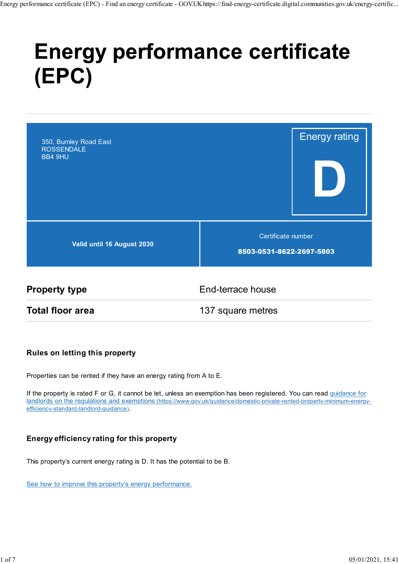# **Energy performance certificate** (EPC)



**Property type End-terrace house** 

Total floor area 137 square metres

#### Rules on letting this property

Properties can be rented if they have an energy rating from A to E.

If the property is rated F or G, it cannot be let, unless an exemption has been registered. You can read guidance for landlords on the regulations and exemptions (https://www.gov.uk/guidance/domestic-private-rented-property-minimum-energyefficiency-standard-landlord-guidance).

### Energy efficiency rating for this property

This property's current energy rating is D. It has the potential to be B.

See how to improve this property's energy performance.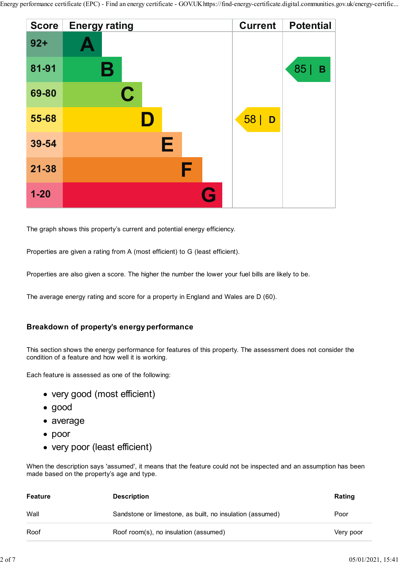

The graph shows this property's current and potential energy efficiency.

Properties are given a rating from A (most efficient) to G (least efficient).

Properties are also given a score. The higher the number the lower your fuel bills are likely to be.

The average energy rating and score for a property in England and Wales are D (60).

#### Breakdown of property's energy performance

- very good (most efficient)
- good
- average
- poor
- very poor (least efficient)

|                | Breakdown of property's energy performance                                                                                                                          |                   |
|----------------|---------------------------------------------------------------------------------------------------------------------------------------------------------------------|-------------------|
|                | This section shows the energy performance for features of this property. The assessment does not consider the<br>condition of a feature and how well it is working. |                   |
|                | Each feature is assessed as one of the following:                                                                                                                   |                   |
|                | • very good (most efficient)                                                                                                                                        |                   |
| $\bullet$ good |                                                                                                                                                                     |                   |
| • average      |                                                                                                                                                                     |                   |
| $\bullet$ poor |                                                                                                                                                                     |                   |
|                | • very poor (least efficient)                                                                                                                                       |                   |
|                | When the description says 'assumed', it means that the feature could not be inspected and an assumption has been<br>made based on the property's age and type.      |                   |
| <b>Feature</b> | <b>Description</b>                                                                                                                                                  | Rating            |
| Wall           | Sandstone or limestone, as built, no insulation (assumed)                                                                                                           | Poor              |
| Roof           | Roof room(s), no insulation (assumed)                                                                                                                               | Very poor         |
|                |                                                                                                                                                                     |                   |
|                |                                                                                                                                                                     | 05/01/2021, 15:41 |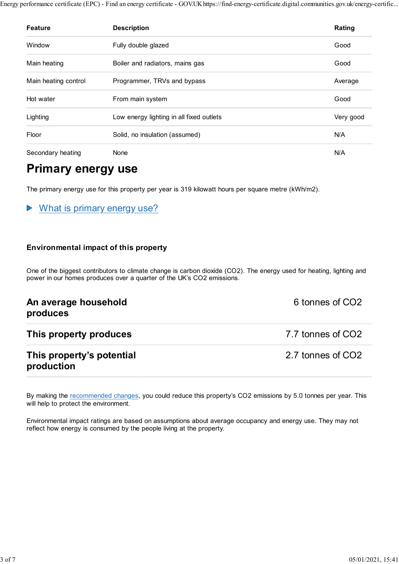|                           | erformance certificate (EPC) - Find an energy certificate - GOV.UK https://find-energy-certificate.digital.communities.gov.uk/energy-certific |           |
|---------------------------|-----------------------------------------------------------------------------------------------------------------------------------------------|-----------|
| <b>Feature</b>            | <b>Description</b>                                                                                                                            | Rating    |
| Window                    | Fully double glazed                                                                                                                           | Good      |
|                           |                                                                                                                                               |           |
| Main heating              | Boiler and radiators, mains gas                                                                                                               | Good      |
| Main heating control      | Programmer, TRVs and bypass                                                                                                                   | Average   |
| Hot water                 | From main system                                                                                                                              | Good      |
| Lighting                  | Low energy lighting in all fixed outlets                                                                                                      | Very good |
| Floor                     | Solid, no insulation (assumed)                                                                                                                | N/A       |
| Secondary heating         | None                                                                                                                                          | N/A       |
| <b>Primary energy use</b> |                                                                                                                                               |           |

# Primary energy use

#### What is primary energy use? ▶

#### Environmental impact of this property

One of the biggest contributors to climate change is carbon dioxide (CO2). The energy used for heating, lighting and power in our homes produces over a quarter of the UK's CO2 emissions.

| An average household<br>produces        | 6 tonnes of CO2   |
|-----------------------------------------|-------------------|
| This property produces                  | 7.7 tonnes of CO2 |
| This property's potential<br>production | 2.7 tonnes of CO2 |
|                                         |                   |

By making the recommended changes, you could reduce this property's CO2 emissions by 5.0 tonnes per year. This will help to protect the environment.

Environmental impact ratings are based on assumptions about average occupancy and energy use. They may not reflect how energy is consumed by the people living at the property.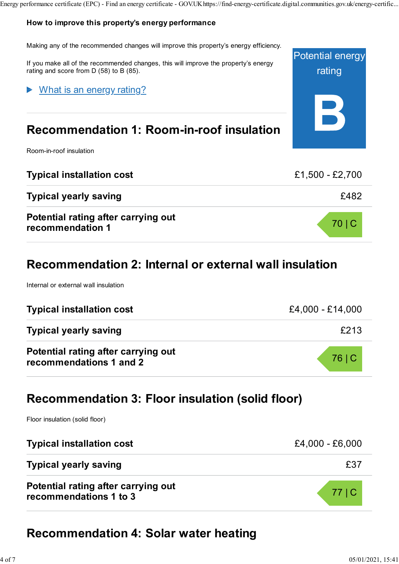#### How to improve this property's energy performance

Making any of the recommended changes will improve this property's energy efficiency.

If you make all of the recommended changes, this will improve the property's energy rating and score from D (58) to B (85).

### What is an energy rating?

# Recommendation 1: Room-in-roof insulation

Room-in-roof insulation

| <b>Typical installation cost</b>                        | £1,500 - £2,700 |
|---------------------------------------------------------|-----------------|
| <b>Typical yearly saving</b>                            | £482            |
| Potential rating after carrying out<br>recommendation 1 | 70 C            |

# Recommendation 2: Internal or external wall insulation

Internal or external wall insulation

| <b>Typical installation cost</b>                               | £4,000 - £14,000 |
|----------------------------------------------------------------|------------------|
| <b>Typical yearly saving</b>                                   | £213             |
| Potential rating after carrying out<br>recommendations 1 and 2 | 76   C           |

### Recommendation 3: Floor insulation (solid floor)

Floor insulation (solid floor)

| <b>Typical installation cost</b>                              | £4,000 - £6,000 |
|---------------------------------------------------------------|-----------------|
| <b>Typical yearly saving</b>                                  | £37             |
| Potential rating after carrying out<br>recommendations 1 to 3 | 77 C            |

# Recommendation 4: Solar water heating

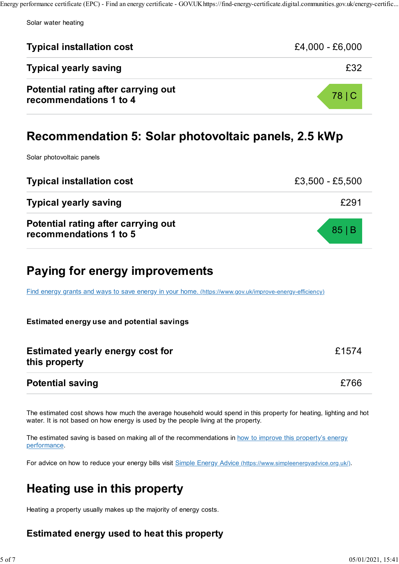| <b>Typical installation cost</b>                              | $£4,000 - £6,000$ |  |
|---------------------------------------------------------------|-------------------|--|
| <b>Typical yearly saving</b>                                  | £32               |  |
| Potential rating after carrying out<br>recommendations 1 to 4 | 78   C            |  |
| Recommendation 5: Solar photovoltaic panels, 2.5 kWp          |                   |  |

Solar photovoltaic panels

| <b>Typical installation cost</b>                              | £3,500 - £5,500 |
|---------------------------------------------------------------|-----------------|
| <b>Typical yearly saving</b>                                  | £291            |
| Potential rating after carrying out<br>recommendations 1 to 5 | 85 B            |

# Paying for energy improvements

Find energy grants and ways to save energy in your home. (https://www.gov.uk/improve-energy-efficiency)

#### Estimated energy use and potential savings

| <b>Estimated yearly energy cost for</b> | £1574 |
|-----------------------------------------|-------|
| this property                           |       |
|                                         |       |

### Potential saving £766

The estimated cost shows how much the average household would spend in this property for heating, lighting and hot water. It is not based on how energy is used by the people living at the property.

The estimated saving is based on making all of the recommendations in how to improve this property's energy performance.

For advice on how to reduce your energy bills visit Simple Energy Advice (https://www.simpleenergyadvice.org.uk/).

# Heating use in this property

Heating a property usually makes up the majority of energy costs.

### Estimated energy used to heat this property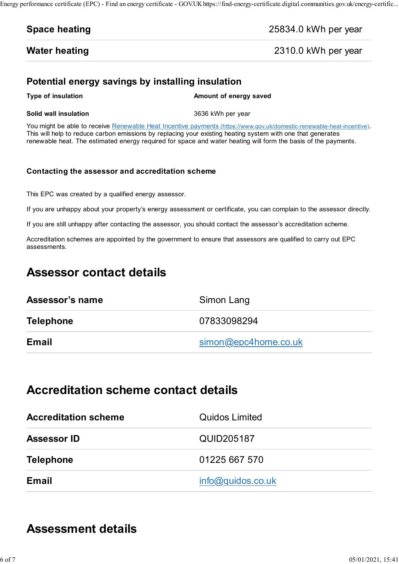### Water heating **2310.0 kWh per year**

### Potential energy savings by installing insulation

#### Solid wall insulation and the state of the 3636 kWh per year

This will help to reduce carbon emissions by replacing your existing heating the able to receive Renewable Heat Incentive payments (thus 25834.0 kWh per year<br> **Space heating** 2310.0 kWh per year<br> **Potential energy savings** You might be able to receive Renewable Heat Incentive payments (https://www.gov.uk/domestic-renewable-heat-incentive). This will help to reduce carbon emissions by replacing your existing heating system with one that generates renewable heat. The estimated energy required for space and water heating will form the basis of the payments.

#### Contacting the assessor and accreditation scheme

This EPC was created by a qualified energy assessor.

If you are unhappy about your property's energy assessment or certificate, you can complain to the assessor directly.

If you are still unhappy after contacting the assessor, you should contact the assessor's accreditation scheme.

Accreditation schemes are appointed by the government to ensure that assessors are qualified to carry out EPC assessments.

# Assessor contact details

| Assessor's name  | Simon Lang           |
|------------------|----------------------|
| <b>Telephone</b> | 07833098294          |
| <b>Email</b>     | simon@epc4home.co.uk |

# Accreditation scheme contact details

| <b>Accreditation scheme</b> | <b>Quidos Limited</b> |
|-----------------------------|-----------------------|
| <b>Assessor ID</b>          | QUID205187            |
| <b>Telephone</b>            | 01225 667 570         |
| Email                       | info@quidos.co.uk     |

# Assessment details